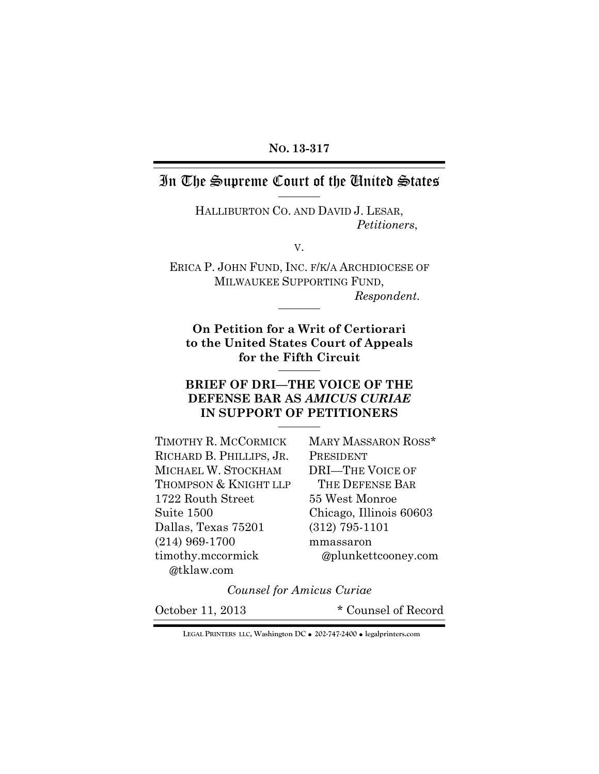### **NO. 13-317**

# In The Supreme Court of the United States

HALLIBURTON CO. AND DAVID J. LESAR, *Petitioners*,

V.

ERICA P. JOHN FUND, INC. F/K/A ARCHDIOCESE OF MILWAUKEE SUPPORTING FUND, *Respondent.* 

**On Petition for a Writ of Certiorari to the United States Court of Appeals for the Fifth Circuit** 

## **BRIEF OF DRI—THE VOICE OF THE DEFENSE BAR AS** *AMICUS CURIAE* **IN SUPPORT OF PETITIONERS**

| TIMOTHY R. MCCORMICK     | MARY MASSARON ROSS*     |
|--------------------------|-------------------------|
| RICHARD B. PHILLIPS, JR. | PRESIDENT               |
| MICHAEL W. STOCKHAM      | <b>DRI-THE VOICE OF</b> |
| THOMPSON & KNIGHT LLP    | THE DEFENSE BAR         |
| 1722 Routh Street        | 55 West Monroe          |
| Suite 1500               | Chicago, Illinois 60603 |
| Dallas, Texas 75201      | $(312)$ 795-1101        |
| $(214)$ 969-1700         | mmassaron               |
| timothy.mccormick        | @plunkettcooney.com     |
| @tklaw.com               |                         |

*Counsel for Amicus Curiae* 

October 11, 2013 \* Counsel of Record

**LEGAL PRINTERS LLC, Washington DC** ! **202-747-2400** ! **legalprinters.com**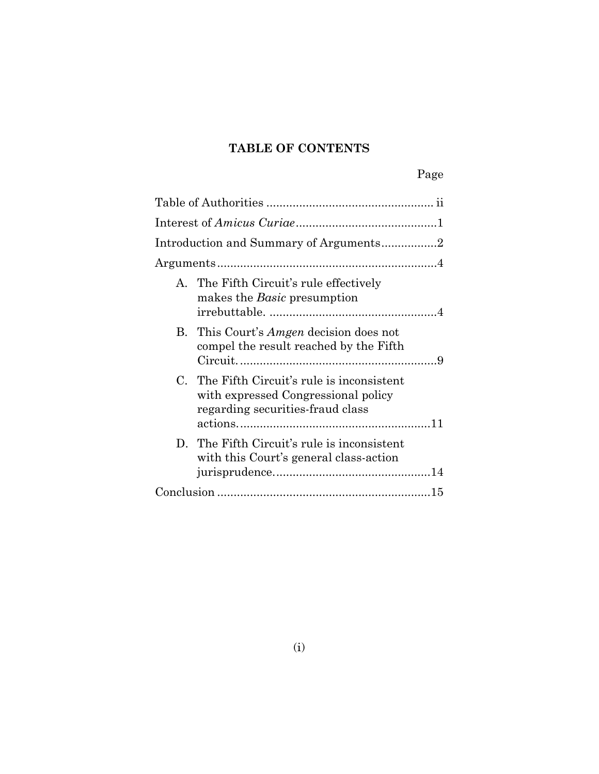# **TABLE OF CONTENTS**

| A. The Fifth Circuit's rule effectively<br>makes the <i>Basic</i> presumption                                          |
|------------------------------------------------------------------------------------------------------------------------|
| B. This Court's <i>Amgen</i> decision does not<br>compel the result reached by the Fifth                               |
| C. The Fifth Circuit's rule is inconsistent<br>with expressed Congressional policy<br>regarding securities-fraud class |
| D. The Fifth Circuit's rule is inconsistent<br>with this Court's general class-action                                  |
|                                                                                                                        |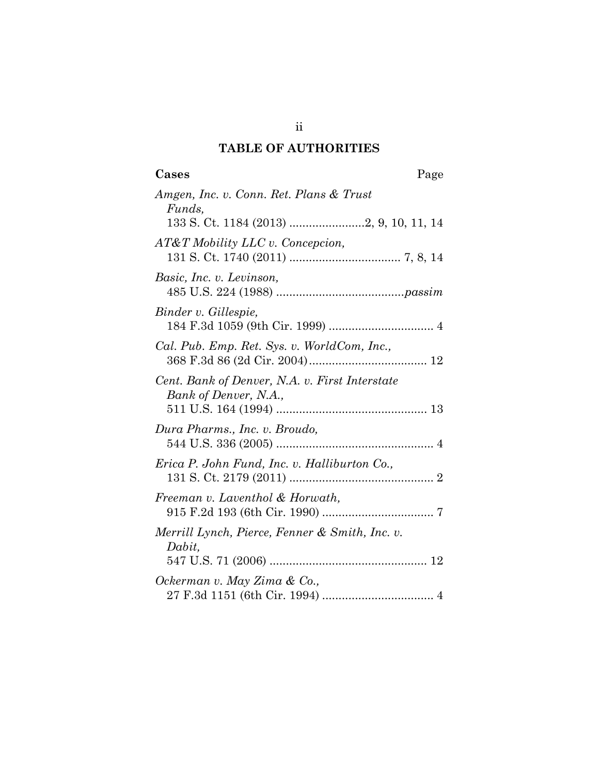## **TABLE OF AUTHORITIES**

ii

| Cases | Page |
|-------|------|
|       |      |

| Amgen, Inc. v. Conn. Ret. Plans & Trust<br>Funds,                       |
|-------------------------------------------------------------------------|
| AT&T Mobility LLC v. Concepcion,                                        |
| Basic, Inc. v. Levinson,                                                |
| Binder v. Gillespie,                                                    |
| Cal. Pub. Emp. Ret. Sys. v. WorldCom, Inc.,                             |
| Cent. Bank of Denver, N.A. v. First Interstate<br>Bank of Denver, N.A., |
| Dura Pharms., Inc. v. Broudo,                                           |
| Erica P. John Fund, Inc. v. Halliburton Co.,                            |
| Freeman v. Laventhol & Horwath,                                         |
| Merrill Lynch, Pierce, Fenner & Smith, Inc. v.<br>Dabit,                |
| Ockerman v. May Zima & Co.,                                             |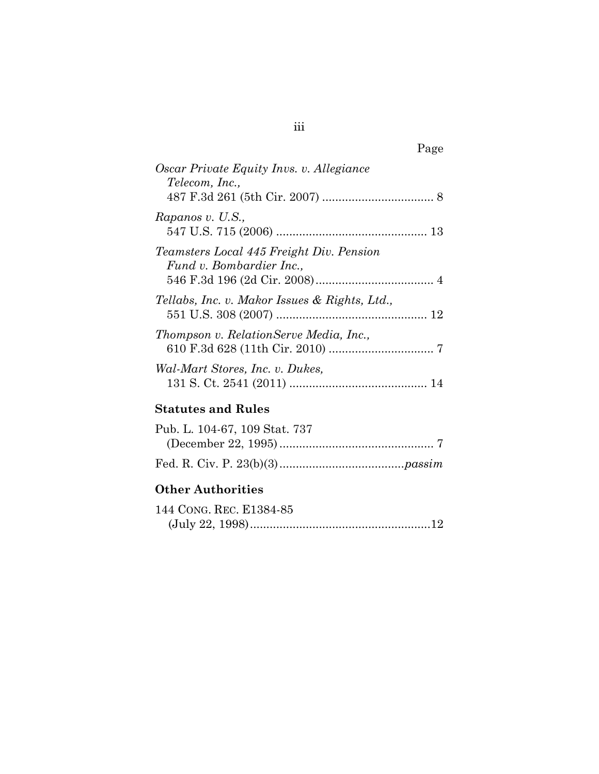| Page                                                                 |
|----------------------------------------------------------------------|
| Oscar Private Equity Invs. v. Allegiance<br>Telecom, Inc.,           |
| Rapanos v. U.S.,                                                     |
| Teamsters Local 445 Freight Div. Pension<br>Fund v. Bombardier Inc., |
| Tellabs, Inc. v. Makor Issues & Rights, Ltd.,                        |
| Thompson v. RelationServe Media, Inc.,                               |
| Wal-Mart Stores, Inc. v. Dukes,                                      |

## **Statutes and Rules**

| Pub. L. 104-67, 109 Stat. 737 |  |
|-------------------------------|--|
|                               |  |
|                               |  |

## **Other Authorities**

| 144 CONG. REC. E1384-85 |  |
|-------------------------|--|
|                         |  |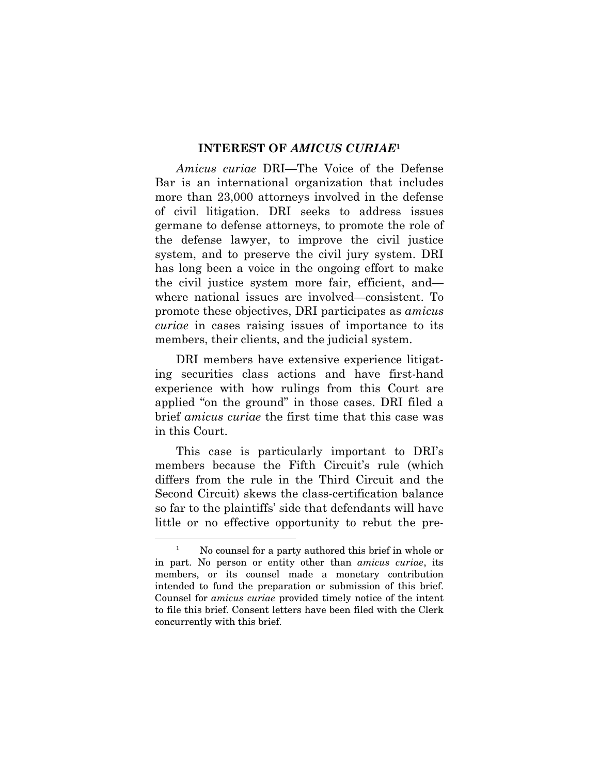#### **INTEREST OF** *AMICUS CURIAE***<sup>1</sup>**

*Amicus curiae* DRI—The Voice of the Defense Bar is an international organization that includes more than 23,000 attorneys involved in the defense of civil litigation. DRI seeks to address issues germane to defense attorneys, to promote the role of the defense lawyer, to improve the civil justice system, and to preserve the civil jury system. DRI has long been a voice in the ongoing effort to make the civil justice system more fair, efficient, and where national issues are involved—consistent. To promote these objectives, DRI participates as *amicus curiae* in cases raising issues of importance to its members, their clients, and the judicial system.

DRI members have extensive experience litigating securities class actions and have first-hand experience with how rulings from this Court are applied "on the ground" in those cases. DRI filed a brief *amicus curiae* the first time that this case was in this Court.

This case is particularly important to DRI's members because the Fifth Circuit's rule (which differs from the rule in the Third Circuit and the Second Circuit) skews the class-certification balance so far to the plaintiffs' side that defendants will have little or no effective opportunity to rebut the pre-

<sup>1</sup> No counsel for a party authored this brief in whole or in part. No person or entity other than *amicus curiae*, its members, or its counsel made a monetary contribution intended to fund the preparation or submission of this brief. Counsel for *amicus curiae* provided timely notice of the intent to file this brief. Consent letters have been filed with the Clerk concurrently with this brief.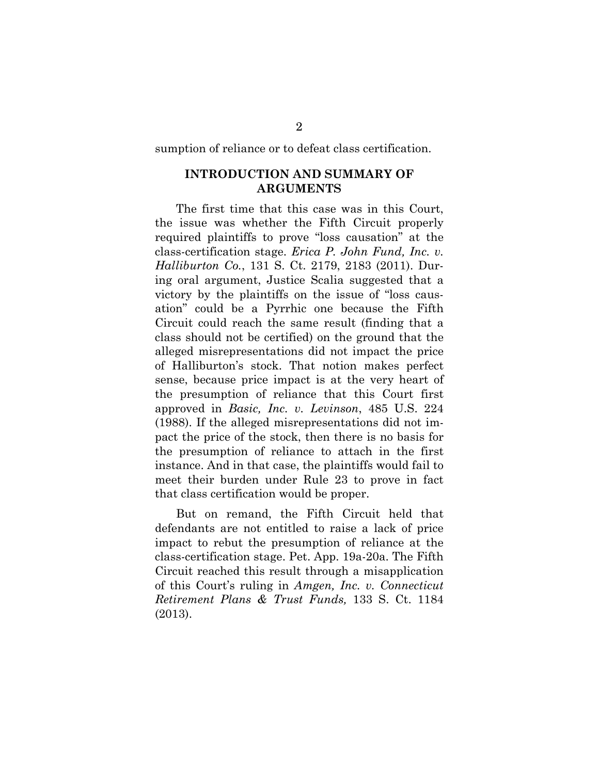sumption of reliance or to defeat class certification.

### **INTRODUCTION AND SUMMARY OF ARGUMENTS**

 The first time that this case was in this Court, the issue was whether the Fifth Circuit properly required plaintiffs to prove "loss causation" at the class-certification stage. *Erica P. John Fund, Inc. v. Halliburton Co.*, 131 S. Ct. 2179, 2183 (2011). During oral argument, Justice Scalia suggested that a victory by the plaintiffs on the issue of "loss causation" could be a Pyrrhic one because the Fifth Circuit could reach the same result (finding that a class should not be certified) on the ground that the alleged misrepresentations did not impact the price of Halliburton's stock. That notion makes perfect sense, because price impact is at the very heart of the presumption of reliance that this Court first approved in *Basic, Inc. v. Levinson*, 485 U.S. 224 (1988). If the alleged misrepresentations did not impact the price of the stock, then there is no basis for the presumption of reliance to attach in the first instance. And in that case, the plaintiffs would fail to meet their burden under Rule 23 to prove in fact that class certification would be proper.

But on remand, the Fifth Circuit held that defendants are not entitled to raise a lack of price impact to rebut the presumption of reliance at the class-certification stage. Pet. App. 19a-20a. The Fifth Circuit reached this result through a misapplication of this Court's ruling in *Amgen, Inc. v. Connecticut Retirement Plans & Trust Funds,* 133 S. Ct. 1184 (2013).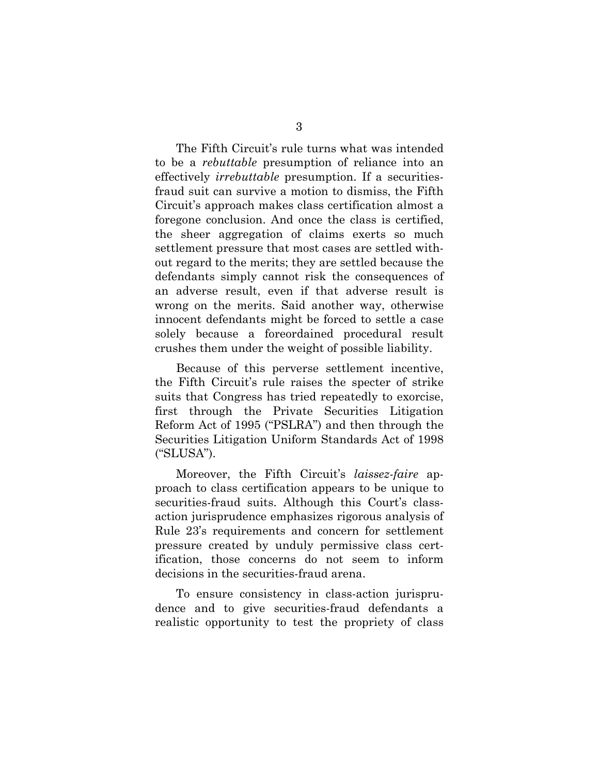The Fifth Circuit's rule turns what was intended to be a *rebuttable* presumption of reliance into an effectively *irrebuttable* presumption. If a securitiesfraud suit can survive a motion to dismiss, the Fifth Circuit's approach makes class certification almost a foregone conclusion. And once the class is certified, the sheer aggregation of claims exerts so much settlement pressure that most cases are settled without regard to the merits; they are settled because the defendants simply cannot risk the consequences of an adverse result, even if that adverse result is wrong on the merits. Said another way, otherwise innocent defendants might be forced to settle a case solely because a foreordained procedural result crushes them under the weight of possible liability.

Because of this perverse settlement incentive, the Fifth Circuit's rule raises the specter of strike suits that Congress has tried repeatedly to exorcise, first through the Private Securities Litigation Reform Act of 1995 ("PSLRA") and then through the Securities Litigation Uniform Standards Act of 1998 ("SLUSA").

Moreover, the Fifth Circuit's *laissez-faire* approach to class certification appears to be unique to securities-fraud suits. Although this Court's classaction jurisprudence emphasizes rigorous analysis of Rule 23's requirements and concern for settlement pressure created by unduly permissive class certification, those concerns do not seem to inform decisions in the securities-fraud arena.

To ensure consistency in class-action jurisprudence and to give securities-fraud defendants a realistic opportunity to test the propriety of class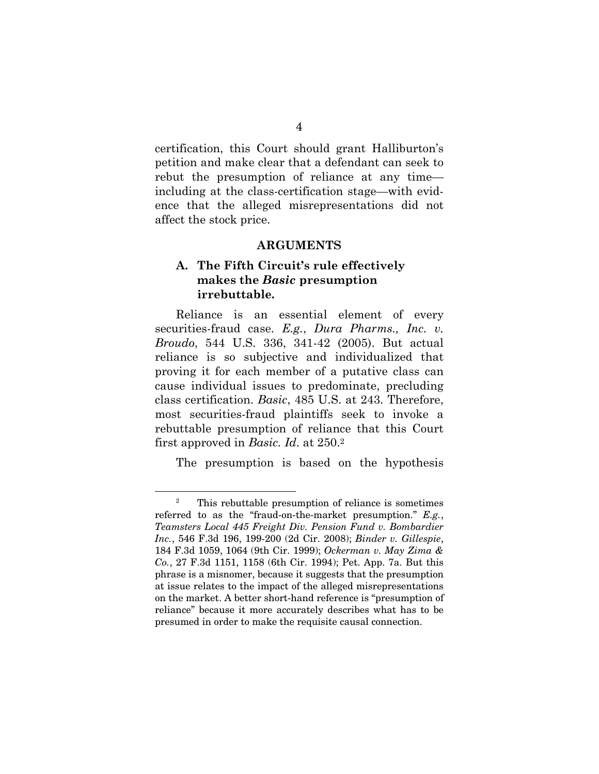certification, this Court should grant Halliburton's petition and make clear that a defendant can seek to rebut the presumption of reliance at any time including at the class-certification stage—with evidence that the alleged misrepresentations did not affect the stock price.

#### **ARGUMENTS**

### **A. The Fifth Circuit's rule effectively makes the** *Basic* **presumption irrebuttable***.*

Reliance is an essential element of every securities-fraud case. *E.g.*, *Dura Pharms., Inc. v. Broudo*, 544 U.S. 336, 341-42 (2005). But actual reliance is so subjective and individualized that proving it for each member of a putative class can cause individual issues to predominate, precluding class certification. *Basic*, 485 U.S. at 243*.* Therefore, most securities-fraud plaintiffs seek to invoke a rebuttable presumption of reliance that this Court first approved in *Basic. Id*. at 250.2

The presumption is based on the hypothesis

l

<sup>2</sup> This rebuttable presumption of reliance is sometimes referred to as the "fraud-on-the-market presumption." *E.g.*, *Teamsters Local 445 Freight Div. Pension Fund v. Bombardier Inc.*, 546 F.3d 196, 199-200 (2d Cir. 2008); *Binder v. Gillespie*, 184 F.3d 1059, 1064 (9th Cir. 1999); *Ockerman v. May Zima & Co.*, 27 F.3d 1151, 1158 (6th Cir. 1994); Pet. App. 7a. But this phrase is a misnomer, because it suggests that the presumption at issue relates to the impact of the alleged misrepresentations on the market. A better short-hand reference is "presumption of reliance" because it more accurately describes what has to be presumed in order to make the requisite causal connection.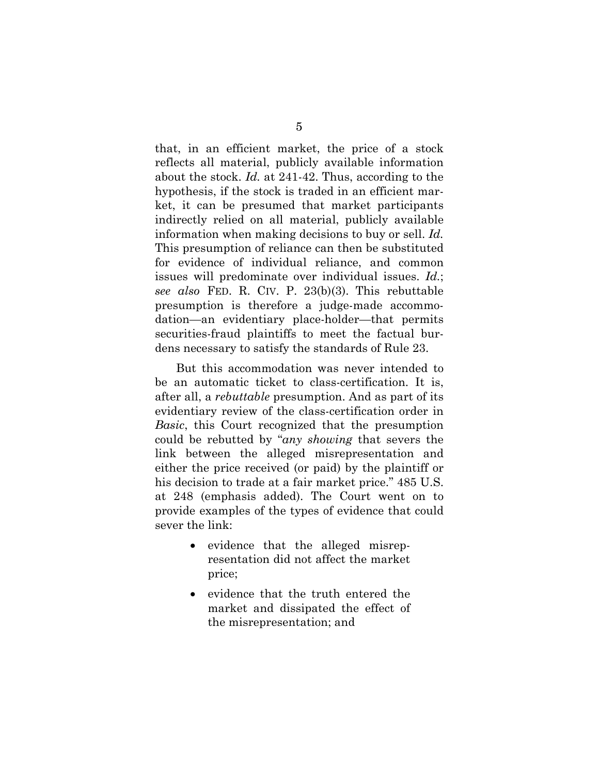that, in an efficient market, the price of a stock reflects all material, publicly available information about the stock. *Id.* at 241-42. Thus, according to the hypothesis, if the stock is traded in an efficient market, it can be presumed that market participants indirectly relied on all material, publicly available information when making decisions to buy or sell. *Id.* This presumption of reliance can then be substituted for evidence of individual reliance, and common issues will predominate over individual issues. *Id.*; *see also* FED. R. CIV. P. 23(b)(3). This rebuttable presumption is therefore a judge-made accommodation—an evidentiary place-holder—that permits securities-fraud plaintiffs to meet the factual burdens necessary to satisfy the standards of Rule 23.

But this accommodation was never intended to be an automatic ticket to class-certification. It is, after all, a *rebuttable* presumption. And as part of its evidentiary review of the class-certification order in *Basic*, this Court recognized that the presumption could be rebutted by "*any showing* that severs the link between the alleged misrepresentation and either the price received (or paid) by the plaintiff or his decision to trade at a fair market price."  $485$  U.S. at 248 (emphasis added). The Court went on to provide examples of the types of evidence that could sever the link:

- evidence that the alleged misrepresentation did not affect the market price;
- evidence that the truth entered the market and dissipated the effect of the misrepresentation; and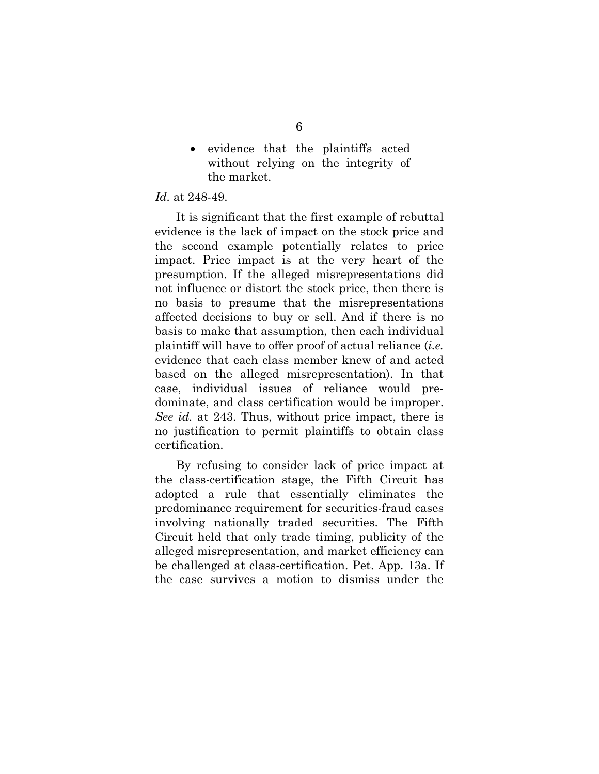evidence that the plaintiffs acted without relying on the integrity of the market.

#### *Id.* at 248-49.

It is significant that the first example of rebuttal evidence is the lack of impact on the stock price and the second example potentially relates to price impact. Price impact is at the very heart of the presumption. If the alleged misrepresentations did not influence or distort the stock price, then there is no basis to presume that the misrepresentations affected decisions to buy or sell. And if there is no basis to make that assumption, then each individual plaintiff will have to offer proof of actual reliance (*i.e.* evidence that each class member knew of and acted based on the alleged misrepresentation). In that case, individual issues of reliance would predominate, and class certification would be improper. *See id.* at 243. Thus, without price impact, there is no justification to permit plaintiffs to obtain class certification.

By refusing to consider lack of price impact at the class-certification stage, the Fifth Circuit has adopted a rule that essentially eliminates the predominance requirement for securities-fraud cases involving nationally traded securities. The Fifth Circuit held that only trade timing, publicity of the alleged misrepresentation, and market efficiency can be challenged at class-certification. Pet. App. 13a. If the case survives a motion to dismiss under the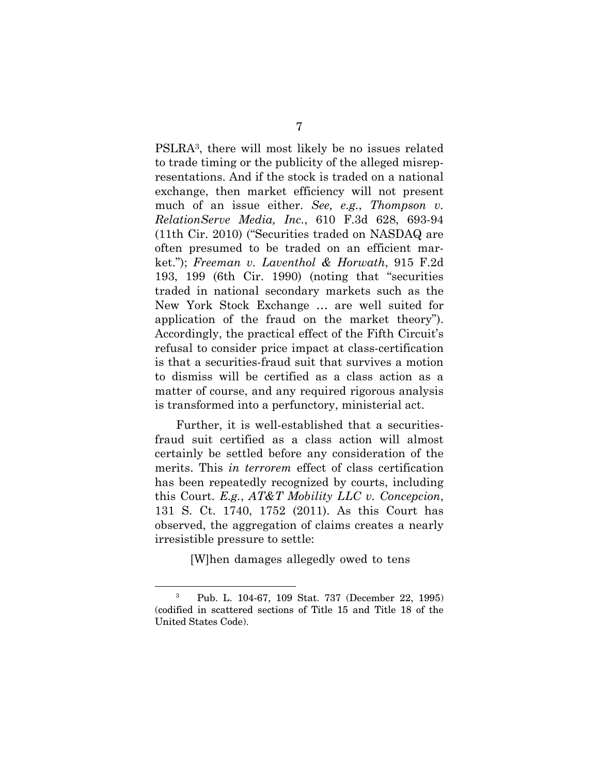PSLRA3, there will most likely be no issues related to trade timing or the publicity of the alleged misrepresentations. And if the stock is traded on a national exchange, then market efficiency will not present much of an issue either. *See, e.g.*, *Thompson v. RelationServe Media, Inc.*, 610 F.3d 628, 693-94 (11th Cir. 2010) ("Securities traded on NASDAQ are often presumed to be traded on an efficient market."); *Freeman v. Laventhol & Horwath*, 915 F.2d 193, 199 (6th Cir. 1990) (noting that "securities traded in national secondary markets such as the New York Stock Exchange … are well suited for application of the fraud on the market theory"). Accordingly, the practical effect of the Fifth Circuit's refusal to consider price impact at class-certification is that a securities-fraud suit that survives a motion to dismiss will be certified as a class action as a matter of course, and any required rigorous analysis is transformed into a perfunctory, ministerial act.

Further, it is well-established that a securitiesfraud suit certified as a class action will almost certainly be settled before any consideration of the merits. This *in terrorem* effect of class certification has been repeatedly recognized by courts, including this Court. *E.g.*, *AT&T Mobility LLC v. Concepcion*, 131 S. Ct. 1740, 1752 (2011). As this Court has observed, the aggregation of claims creates a nearly irresistible pressure to settle:

[W]hen damages allegedly owed to tens

l

<sup>3</sup> Pub. L. 104-67, 109 Stat. 737 (December 22, 1995) (codified in scattered sections of Title 15 and Title 18 of the United States Code).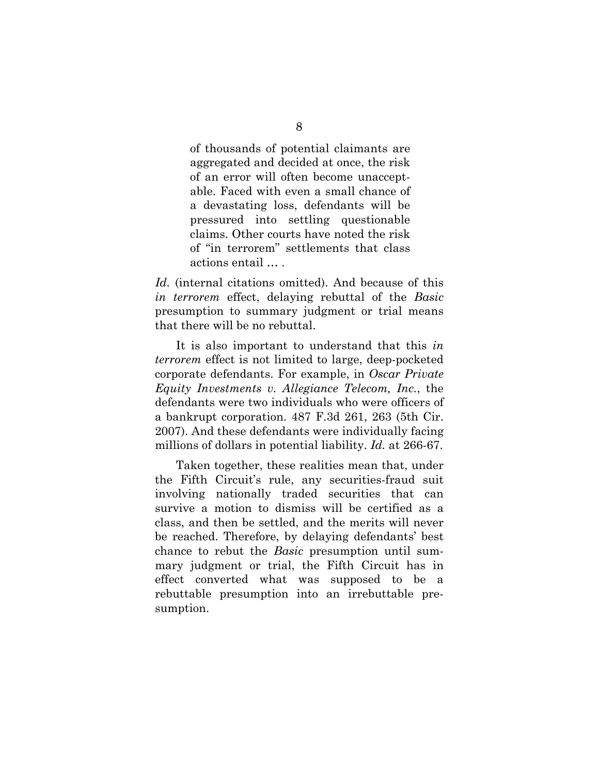of thousands of potential claimants are aggregated and decided at once, the risk of an error will often become unacceptable. Faced with even a small chance of a devastating loss, defendants will be pressured into settling questionable claims. Other courts have noted the risk of "in terrorem" settlements that class actions entail … .

*Id.* (internal citations omitted). And because of this *in terrorem* effect, delaying rebuttal of the *Basic*  presumption to summary judgment or trial means that there will be no rebuttal.

It is also important to understand that this *in terrorem* effect is not limited to large, deep-pocketed corporate defendants. For example, in *Oscar Private Equity Investments v. Allegiance Telecom, Inc.*, the defendants were two individuals who were officers of a bankrupt corporation. 487 F.3d 261, 263 (5th Cir. 2007). And these defendants were individually facing millions of dollars in potential liability. *Id.* at 266-67.

Taken together, these realities mean that, under the Fifth Circuit's rule, any securities-fraud suit involving nationally traded securities that can survive a motion to dismiss will be certified as a class, and then be settled, and the merits will never be reached. Therefore, by delaying defendants' best chance to rebut the *Basic* presumption until summary judgment or trial, the Fifth Circuit has in effect converted what was supposed to be a rebuttable presumption into an irrebuttable presumption.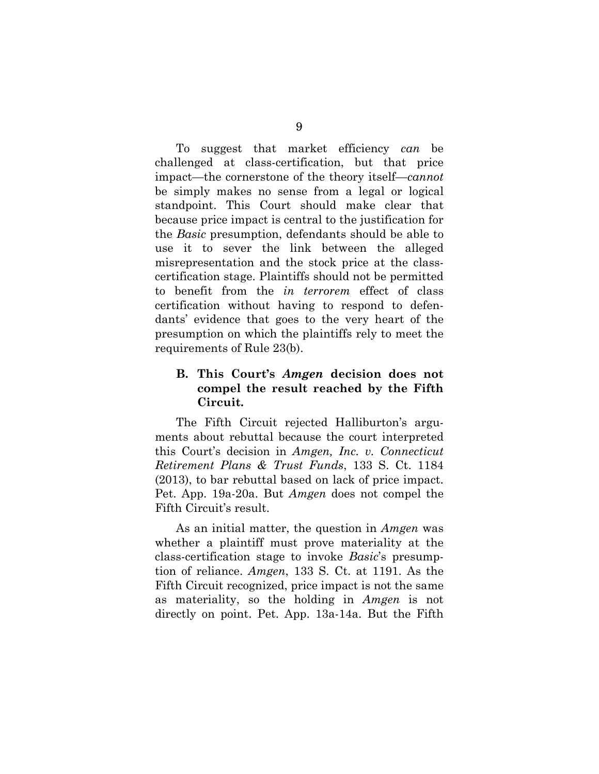To suggest that market efficiency *can* be challenged at class-certification, but that price impact—the cornerstone of the theory itself—*cannot* be simply makes no sense from a legal or logical standpoint. This Court should make clear that because price impact is central to the justification for the *Basic* presumption, defendants should be able to use it to sever the link between the alleged misrepresentation and the stock price at the classcertification stage. Plaintiffs should not be permitted to benefit from the *in terrorem* effect of class certification without having to respond to defendants' evidence that goes to the very heart of the presumption on which the plaintiffs rely to meet the requirements of Rule 23(b).

## **B. This Court's** *Amgen* **decision does not compel the result reached by the Fifth Circuit.**

The Fifth Circuit rejected Halliburton's arguments about rebuttal because the court interpreted this Court's decision in *Amgen, Inc. v. Connecticut Retirement Plans & Trust Funds*, 133 S. Ct. 1184 (2013), to bar rebuttal based on lack of price impact. Pet. App. 19a-20a. But *Amgen* does not compel the Fifth Circuit's result.

As an initial matter, the question in *Amgen* was whether a plaintiff must prove materiality at the class-certification stage to invoke *Basic*'s presumption of reliance. *Amgen*, 133 S. Ct. at 1191. As the Fifth Circuit recognized, price impact is not the same as materiality, so the holding in *Amgen* is not directly on point. Pet. App. 13a-14a. But the Fifth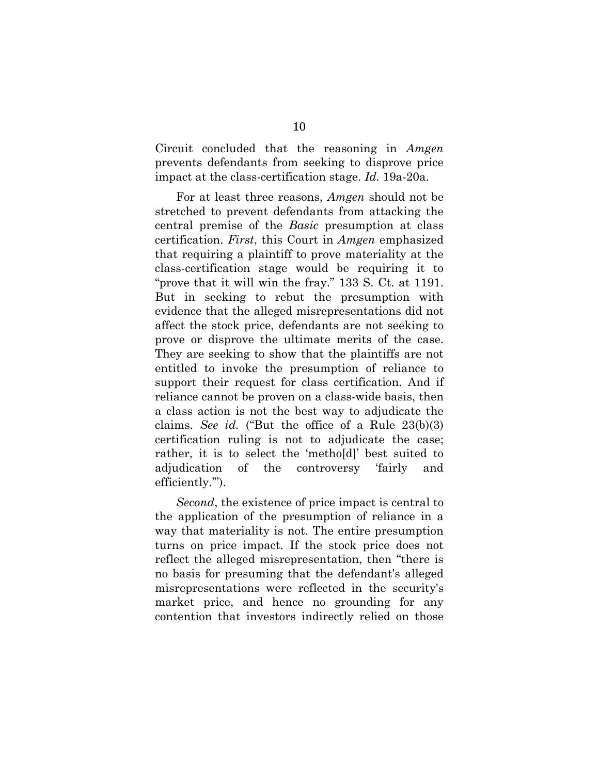Circuit concluded that the reasoning in *Amgen*  prevents defendants from seeking to disprove price impact at the class-certification stage. *Id.* 19a-20a.

For at least three reasons, *Amgen* should not be stretched to prevent defendants from attacking the central premise of the *Basic* presumption at class certification. *First*, this Court in *Amgen* emphasized that requiring a plaintiff to prove materiality at the class-certification stage would be requiring it to "prove that it will win the fray." 133 S. Ct. at 1191. But in seeking to rebut the presumption with evidence that the alleged misrepresentations did not affect the stock price, defendants are not seeking to prove or disprove the ultimate merits of the case. They are seeking to show that the plaintiffs are not entitled to invoke the presumption of reliance to support their request for class certification. And if reliance cannot be proven on a class-wide basis, then a class action is not the best way to adjudicate the claims. *See id.* ("But the office of a Rule 23(b)(3) certification ruling is not to adjudicate the case; rather, it is to select the 'metho[d]' best suited to adjudication of the controversy 'fairly and efficiently.'").

*Second*, the existence of price impact is central to the application of the presumption of reliance in a way that materiality is not. The entire presumption turns on price impact. If the stock price does not reflect the alleged misrepresentation, then "there is no basis for presuming that the defendant's alleged misrepresentations were reflected in the security's market price, and hence no grounding for any contention that investors indirectly relied on those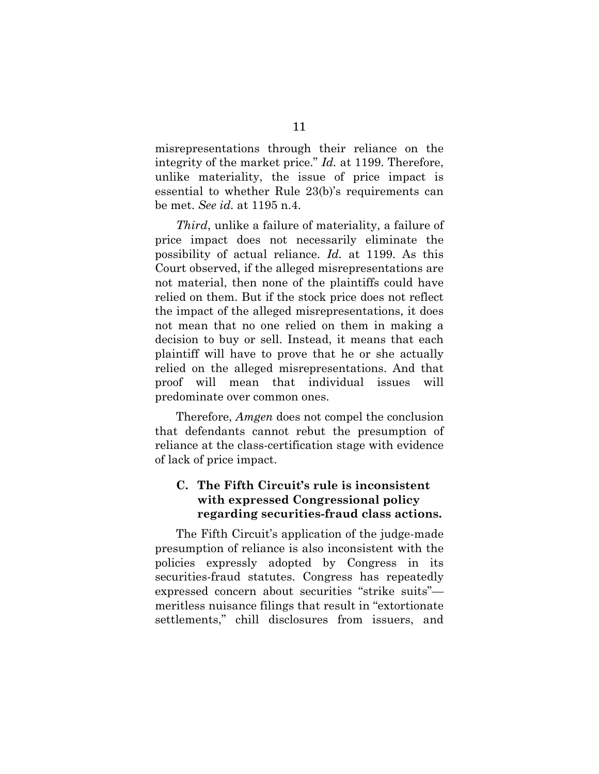misrepresentations through their reliance on the integrity of the market price." *Id.* at 1199. Therefore, unlike materiality, the issue of price impact is essential to whether Rule 23(b)'s requirements can be met. *See id.* at 1195 n.4.

*Third*, unlike a failure of materiality, a failure of price impact does not necessarily eliminate the possibility of actual reliance. *Id.* at 1199. As this Court observed, if the alleged misrepresentations are not material, then none of the plaintiffs could have relied on them. But if the stock price does not reflect the impact of the alleged misrepresentations, it does not mean that no one relied on them in making a decision to buy or sell. Instead, it means that each plaintiff will have to prove that he or she actually relied on the alleged misrepresentations. And that proof will mean that individual issues will predominate over common ones.

Therefore, *Amgen* does not compel the conclusion that defendants cannot rebut the presumption of reliance at the class-certification stage with evidence of lack of price impact.

## **C. The Fifth Circuit's rule is inconsistent with expressed Congressional policy regarding securities-fraud class actions.**

The Fifth Circuit's application of the judge-made presumption of reliance is also inconsistent with the policies expressly adopted by Congress in its securities-fraud statutes. Congress has repeatedly expressed concern about securities "strike suits" meritless nuisance filings that result in "extortionate settlements," chill disclosures from issuers, and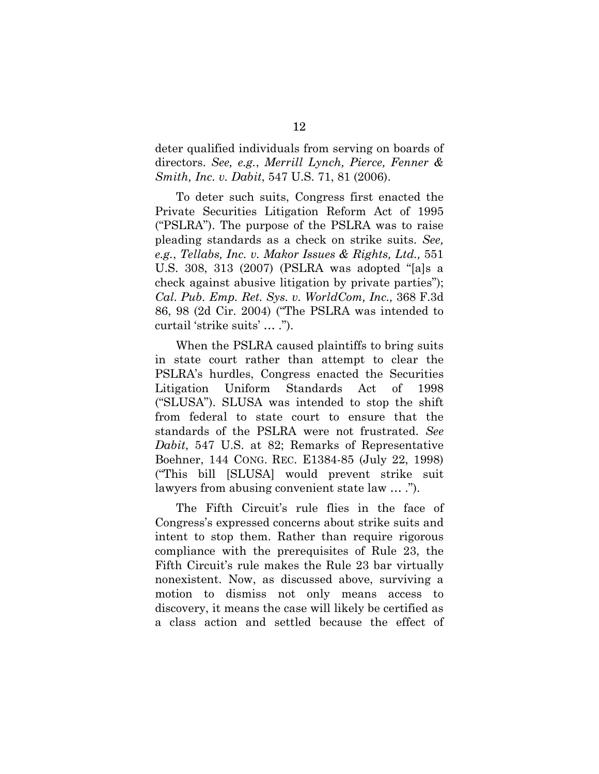deter qualified individuals from serving on boards of directors. *See, e.g.*, *Merrill Lynch, Pierce, Fenner & Smith, Inc. v. Dabit*, 547 U.S. 71, 81 (2006).

To deter such suits, Congress first enacted the Private Securities Litigation Reform Act of 1995 ("PSLRA"). The purpose of the PSLRA was to raise pleading standards as a check on strike suits. *See, e.g.*, *Tellabs, Inc. v. Makor Issues & Rights, Ltd.,* 551 U.S. 308, 313 (2007) (PSLRA was adopted "[a]s a check against abusive litigation by private parties"); *Cal. Pub. Emp. Ret. Sys. v. WorldCom, Inc.,* 368 F.3d 86, 98 (2d Cir. 2004) ("The PSLRA was intended to curtail 'strike suits' … .").

When the PSLRA caused plaintiffs to bring suits in state court rather than attempt to clear the PSLRA's hurdles, Congress enacted the Securities Litigation Uniform Standards Act of 1998 ("SLUSA"). SLUSA was intended to stop the shift from federal to state court to ensure that the standards of the PSLRA were not frustrated. *See Dabit*, 547 U.S. at 82; Remarks of Representative Boehner, 144 CONG. REC. E1384-85 (July 22, 1998) ("This bill [SLUSA] would prevent strike suit lawyers from abusing convenient state law … .").

The Fifth Circuit's rule flies in the face of Congress's expressed concerns about strike suits and intent to stop them. Rather than require rigorous compliance with the prerequisites of Rule 23, the Fifth Circuit's rule makes the Rule 23 bar virtually nonexistent. Now, as discussed above, surviving a motion to dismiss not only means access to discovery, it means the case will likely be certified as a class action and settled because the effect of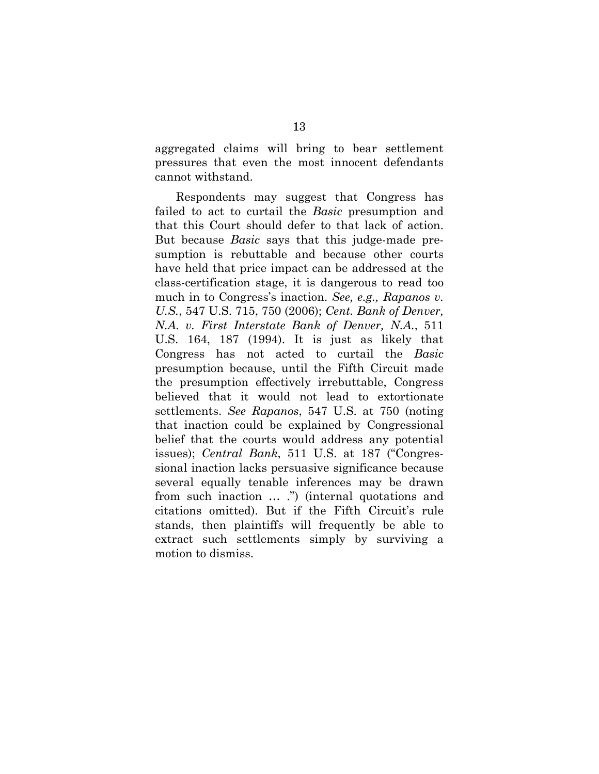aggregated claims will bring to bear settlement pressures that even the most innocent defendants cannot withstand.

Respondents may suggest that Congress has failed to act to curtail the *Basic* presumption and that this Court should defer to that lack of action. But because *Basic* says that this judge-made presumption is rebuttable and because other courts have held that price impact can be addressed at the class-certification stage, it is dangerous to read too much in to Congress's inaction. *See, e.g., Rapanos v. U.S.*, 547 U.S. 715, 750 (2006); *Cent. Bank of Denver, N.A. v. First Interstate Bank of Denver, N.A.*, 511 U.S. 164, 187 (1994). It is just as likely that Congress has not acted to curtail the *Basic*  presumption because, until the Fifth Circuit made the presumption effectively irrebuttable, Congress believed that it would not lead to extortionate settlements. *See Rapanos*, 547 U.S. at 750 (noting that inaction could be explained by Congressional belief that the courts would address any potential issues); *Central Bank*, 511 U.S. at 187 ("Congressional inaction lacks persuasive significance because several equally tenable inferences may be drawn from such inaction … .") (internal quotations and citations omitted). But if the Fifth Circuit's rule stands, then plaintiffs will frequently be able to extract such settlements simply by surviving a motion to dismiss.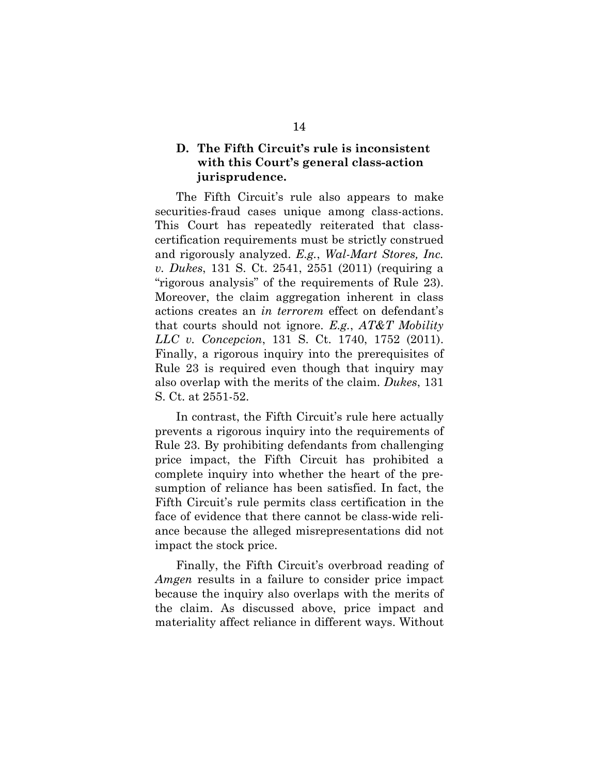## **D. The Fifth Circuit's rule is inconsistent with this Court's general class-action jurisprudence.**

The Fifth Circuit's rule also appears to make securities-fraud cases unique among class-actions. This Court has repeatedly reiterated that classcertification requirements must be strictly construed and rigorously analyzed. *E.g.*, *Wal-Mart Stores, Inc. v. Dukes*, 131 S. Ct. 2541, 2551 (2011) (requiring a "rigorous analysis" of the requirements of Rule 23). Moreover, the claim aggregation inherent in class actions creates an *in terrorem* effect on defendant's that courts should not ignore. *E.g.*, *AT&T Mobility LLC v. Concepcion*, 131 S. Ct. 1740, 1752 (2011). Finally, a rigorous inquiry into the prerequisites of Rule 23 is required even though that inquiry may also overlap with the merits of the claim. *Dukes*, 131 S. Ct. at 2551-52.

In contrast, the Fifth Circuit's rule here actually prevents a rigorous inquiry into the requirements of Rule 23. By prohibiting defendants from challenging price impact, the Fifth Circuit has prohibited a complete inquiry into whether the heart of the presumption of reliance has been satisfied. In fact, the Fifth Circuit's rule permits class certification in the face of evidence that there cannot be class-wide reliance because the alleged misrepresentations did not impact the stock price.

Finally, the Fifth Circuit's overbroad reading of *Amgen* results in a failure to consider price impact because the inquiry also overlaps with the merits of the claim. As discussed above, price impact and materiality affect reliance in different ways. Without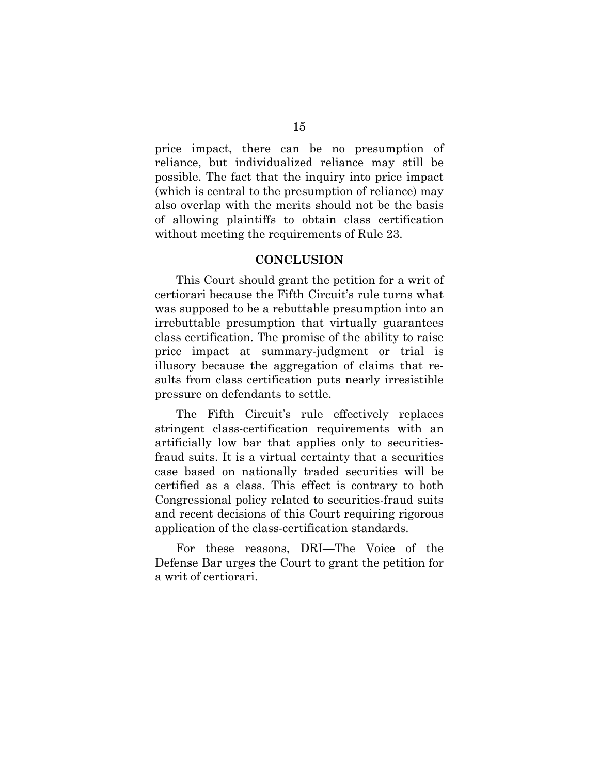price impact, there can be no presumption of reliance, but individualized reliance may still be possible. The fact that the inquiry into price impact (which is central to the presumption of reliance) may also overlap with the merits should not be the basis of allowing plaintiffs to obtain class certification without meeting the requirements of Rule 23.

#### **CONCLUSION**

This Court should grant the petition for a writ of certiorari because the Fifth Circuit's rule turns what was supposed to be a rebuttable presumption into an irrebuttable presumption that virtually guarantees class certification. The promise of the ability to raise price impact at summary-judgment or trial is illusory because the aggregation of claims that results from class certification puts nearly irresistible pressure on defendants to settle.

The Fifth Circuit's rule effectively replaces stringent class-certification requirements with an artificially low bar that applies only to securitiesfraud suits. It is a virtual certainty that a securities case based on nationally traded securities will be certified as a class. This effect is contrary to both Congressional policy related to securities-fraud suits and recent decisions of this Court requiring rigorous application of the class-certification standards.

For these reasons, DRI—The Voice of the Defense Bar urges the Court to grant the petition for a writ of certiorari.